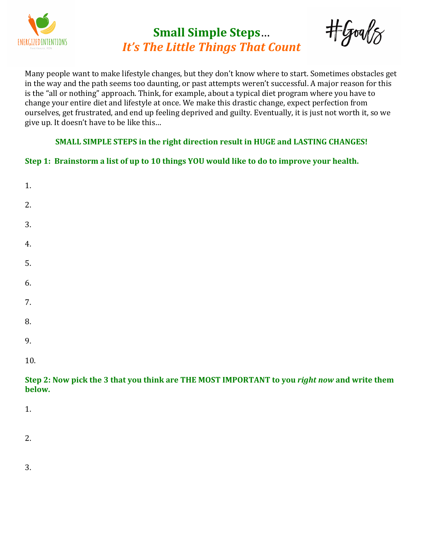

## **Small Simple Steps**… *It's* The Little Things That Count

tool &

Many people want to make lifestyle changes, but they don't know where to start. Sometimes obstacles get in the way and the path seems too daunting, or past attempts weren't successful. A major reason for this is the "all or nothing" approach. Think, for example, about a typical diet program where you have to change your entire diet and lifestyle at once. We make this drastic change, expect perfection from ourselves, get frustrated, and end up feeling deprived and guilty. Eventually, it is just not worth it, so we give up. It doesn't have to be like this...

## **SMALL SIMPLE STEPS in the right direction result in HUGE and LASTING CHANGES!**

## **Step 1: Brainstorm a list of up to 10 things YOU would like to do to improve your health.**

| Step 2: Now pick the 3 that you think are THE MOST IMPORTANT to you right now and write them<br>helow |  |
|-------------------------------------------------------------------------------------------------------|--|
| 10.                                                                                                   |  |
| 9.                                                                                                    |  |
| 8.                                                                                                    |  |
| 7.                                                                                                    |  |
| 6.                                                                                                    |  |
| 5.                                                                                                    |  |
| 4.                                                                                                    |  |
| 3.                                                                                                    |  |
| 2.                                                                                                    |  |
| 1.                                                                                                    |  |

1.

2.

3.